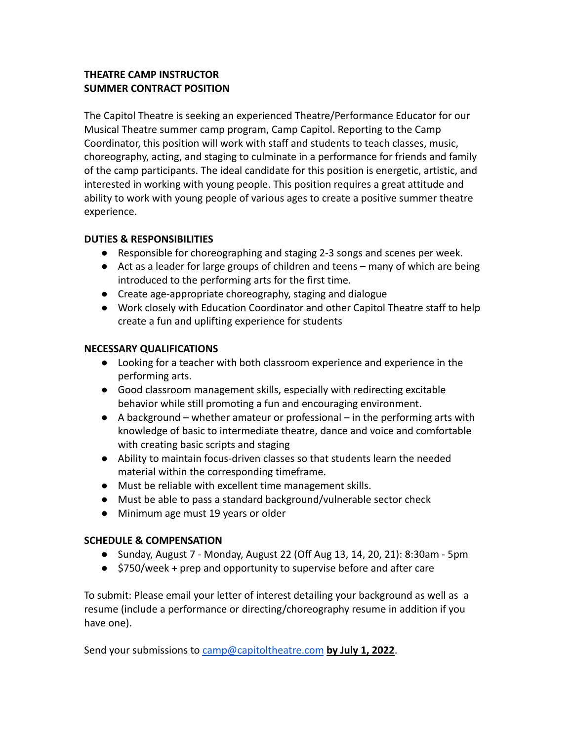# **THEATRE CAMP INSTRUCTOR SUMMER CONTRACT POSITION**

The Capitol Theatre is seeking an experienced Theatre/Performance Educator for our Musical Theatre summer camp program, Camp Capitol. Reporting to the Camp Coordinator, this position will work with staff and students to teach classes, music, choreography, acting, and staging to culminate in a performance for friends and family of the camp participants. The ideal candidate for this position is energetic, artistic, and interested in working with young people. This position requires a great attitude and ability to work with young people of various ages to create a positive summer theatre experience.

## **DUTIES & RESPONSIBILITIES**

- Responsible for choreographing and staging 2-3 songs and scenes per week.
- Act as a leader for large groups of children and teens many of which are being introduced to the performing arts for the first time.
- Create age-appropriate choreography, staging and dialogue
- Work closely with Education Coordinator and other Capitol Theatre staff to help create a fun and uplifting experience for students

### **NECESSARY QUALIFICATIONS**

- Looking for a teacher with both classroom experience and experience in the performing arts.
- Good classroom management skills, especially with redirecting excitable behavior while still promoting a fun and encouraging environment.
- $\bullet$  A background whether amateur or professional in the performing arts with knowledge of basic to intermediate theatre, dance and voice and comfortable with creating basic scripts and staging
- Ability to maintain focus-driven classes so that students learn the needed material within the corresponding timeframe.
- Must be reliable with excellent time management skills.
- Must be able to pass a standard background/vulnerable sector check
- Minimum age must 19 years or older

## **SCHEDULE & COMPENSATION**

- Sunday, August 7 Monday, August 22 (Off Aug 13, 14, 20, 21): 8:30am 5pm
- \$750/week + prep and opportunity to supervise before and after care

To submit: Please email your letter of interest detailing your background as well as a resume (include a performance or directing/choreography resume in addition if you have one).

Send your submissions to [camp@capitoltheatre.com](mailto:camp@capitoltheatre.com) **by July 1, 2022**.